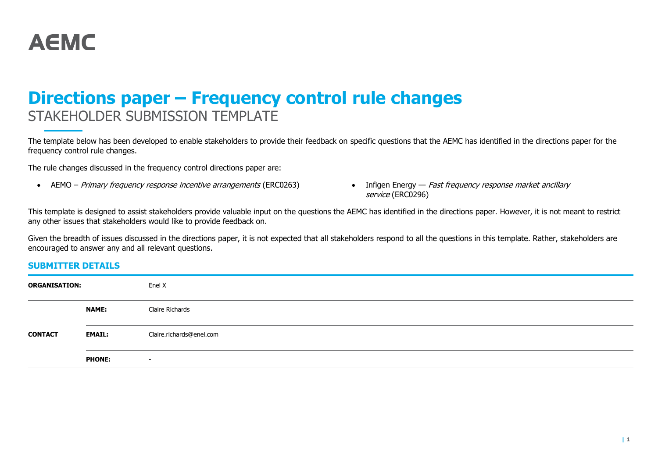

# **Directions paper – Frequency control rule changes** STAKEHOLDER SUBMISSION TEMPLATE

The template below has been developed to enable stakeholders to provide their feedback on specific questions that the AEMC has identified in the directions paper for the frequency control rule changes.

The rule changes discussed in the frequency control directions paper are:

- AEMO Primary frequency response incentive arrangements (ERC0263) Infigen Energy Fast frequency response market ancillary
- service (ERC0296)

This template is designed to assist stakeholders provide valuable input on the questions the AEMC has identified in the directions paper. However, it is not meant to restrict any other issues that stakeholders would like to provide feedback on.

Given the breadth of issues discussed in the directions paper, it is not expected that all stakeholders respond to all the questions in this template. Rather, stakeholders are encouraged to answer any and all relevant questions.

## **SUBMITTER DETAILS**

| <b>ORGANISATION:</b> |               | Enel X                   |
|----------------------|---------------|--------------------------|
|                      | <b>NAME:</b>  | Claire Richards          |
| <b>CONTACT</b>       | <b>EMAIL:</b> | Claire.richards@enel.com |
|                      | <b>PHONE:</b> | $\overline{\phantom{0}}$ |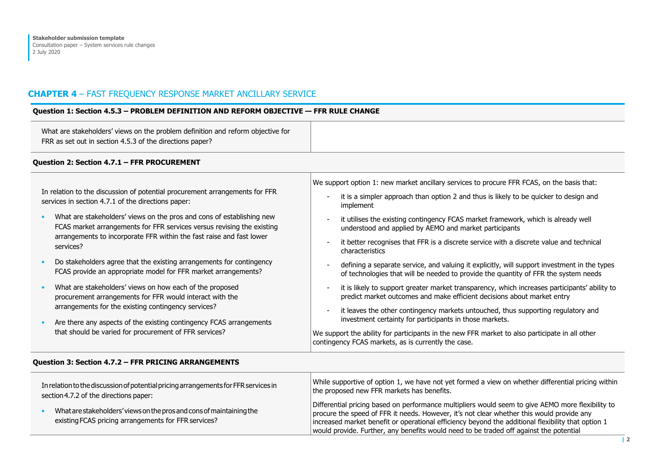## **CHAPTER 4** – FAST FREQUENCY RESPONSE MARKET ANCILLARY SERVICE

#### **Question 1: Section 4.5.3 – PROBLEM DEFINITION AND REFORM OBJECTIVE — FFR RULE CHANGE** What are stakeholders' views on the problem definition and reform objective for FRR as set out in section 4.5.3 of the directions paper? **Question 2: Section 4.7.1 – FFR PROCUREMENT** In relation to the discussion of potential procurement arrangements for FFR services in section 4.7.1 of the directions paper: • What are stakeholders' views on the pros and cons of establishing new FCAS market arrangements for FFR services versus revising the existing arrangements to incorporate FFR within the fast raise and fast lower services? • Do stakeholders agree that the existing arrangements for contingency FCAS provide an appropriate model for FFR market arrangements? • What are stakeholders' views on how each of the proposed procurement arrangements for FFR would interact with the arrangements for the existing contingency services? • Are there any aspects of the existing contingency FCAS arrangements that should be varied for procurement of FFR services? We support option 1: new market ancillary services to procure FFR FCAS, on the basis that: - it is a simpler approach than option 2 and thus is likely to be quicker to design and implement it utilises the existing contingency FCAS market framework, which is already well understood and applied by AEMO and market participants it better recognises that FFR is a discrete service with a discrete value and technical characteristics - defining a separate service, and valuing it explicitly, will support investment in the types of technologies that will be needed to provide the quantity of FFR the system needs - it is likely to support greater market transparency, which increases participants' ability to predict market outcomes and make efficient decisions about market entry it leaves the other contingency markets untouched, thus supporting regulatory and investment certainty for participants in those markets. We support the ability for participants in the new FFR market to also participate in all other contingency FCAS markets, as is currently the case. **Question 3: Section 4.7.2 – FFR PRICING ARRANGEMENTS**

#### In relation to the discussion of potential pricing arrangements for FFR services in section4.7.2 of the directions paper: • What are stakeholders' views on the prosand cons of maintaining the existingFCAS pricing arrangements for FFR services? While supportive of option 1, we have not yet formed a view on whether differential pricing within the proposed new FFR markets has benefits. Differential pricing based on performance multipliers would seem to give AEMO more flexibility to procure the speed of FFR it needs. However, it's not clear whether this would provide any increased market benefit or operational efficiency beyond the additional flexibility that option 1 would provide. Further, any benefits would need to be traded off against the potential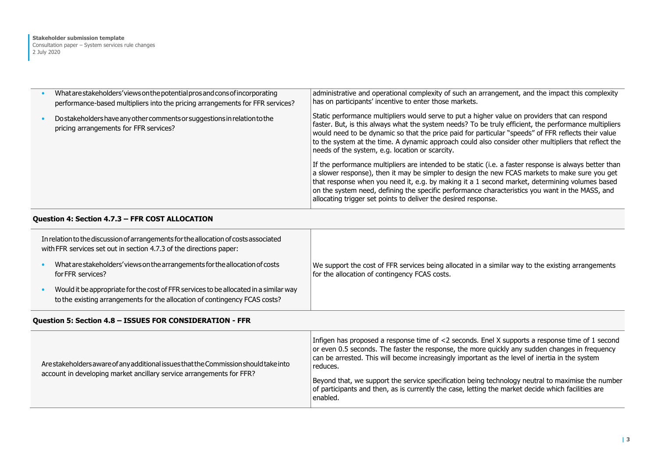| What are stakeholders' views on the potential pros and consof incorporating<br>performance-based multipliers into the pricing arrangements for FFR services? | administrative and operational complexity of such an arrangement, and the impact this complexity<br>has on participants' incentive to enter those markets.                                                                                                                                                                                                                                                                                                                      |
|--------------------------------------------------------------------------------------------------------------------------------------------------------------|---------------------------------------------------------------------------------------------------------------------------------------------------------------------------------------------------------------------------------------------------------------------------------------------------------------------------------------------------------------------------------------------------------------------------------------------------------------------------------|
| Do stakeholders have any other comments or suggestions in relation to the<br>pricing arrangements for FFR services?                                          | Static performance multipliers would serve to put a higher value on providers that can respond<br>faster. But, is this always what the system needs? To be truly efficient, the performance multipliers<br>would need to be dynamic so that the price paid for particular "speeds" of FFR reflects their value<br>to the system at the time. A dynamic approach could also consider other multipliers that reflect the<br>needs of the system, e.g. location or scarcity.       |
|                                                                                                                                                              | If the performance multipliers are intended to be static (i.e. a faster response is always better than<br>a slower response), then it may be simpler to design the new FCAS markets to make sure you get<br>that response when you need it, e.g. by making it a 1 second market, determining volumes based<br>on the system need, defining the specific performance characteristics you want in the MASS, and<br>allocating trigger set points to deliver the desired response. |

## **Question 4: Section 4.7.3 – FFR COST ALLOCATION**

| In relation to the discussion of arrangements for the allocation of costs associated<br>with FFR services set out in section 4.7.3 of the directions paper:         |                                                                                                                                                    |
|---------------------------------------------------------------------------------------------------------------------------------------------------------------------|----------------------------------------------------------------------------------------------------------------------------------------------------|
| What are stakeholders' views on the arrangements for the allocation of costs<br>for FFR services?                                                                   | We support the cost of FFR services being allocated in a similar way to the existing arrangements<br>for the allocation of contingency FCAS costs. |
| Would it be appropriate for the cost of FFR services to be allocated in a similar way<br>to the existing arrangements for the allocation of contingency FCAS costs? |                                                                                                                                                    |

## **Question 5: Section 4.8 – ISSUES FOR CONSIDERATION - FFR**

| Are stakeholders aware of any additional issues that the Commission should take into<br>account in developing market ancillary service arrangements for FFR? | Infigen has proposed a response time of <2 seconds. Enel X supports a response time of 1 second<br>or even 0.5 seconds. The faster the response, the more quickly any sudden changes in frequency<br>can be arrested. This will become increasingly important as the level of inertia in the system<br>reduces.<br>Beyond that, we support the service specification being technology neutral to maximise the number<br>of participants and then, as is currently the case, letting the market decide which facilities are<br>enabled. |
|--------------------------------------------------------------------------------------------------------------------------------------------------------------|----------------------------------------------------------------------------------------------------------------------------------------------------------------------------------------------------------------------------------------------------------------------------------------------------------------------------------------------------------------------------------------------------------------------------------------------------------------------------------------------------------------------------------------|
|--------------------------------------------------------------------------------------------------------------------------------------------------------------|----------------------------------------------------------------------------------------------------------------------------------------------------------------------------------------------------------------------------------------------------------------------------------------------------------------------------------------------------------------------------------------------------------------------------------------------------------------------------------------------------------------------------------------|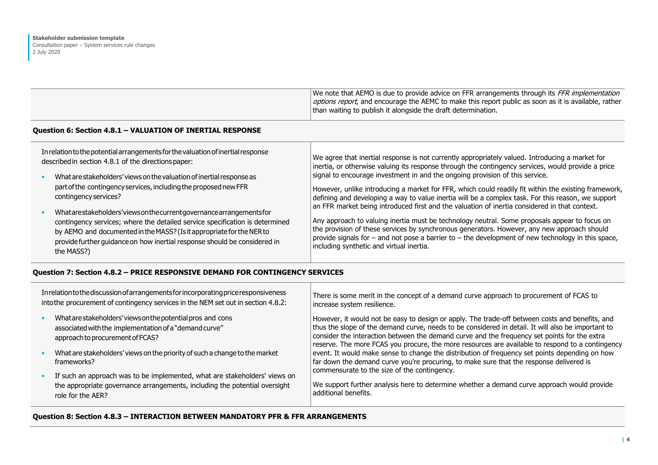|                                                                                                                                                                                                                                                                                                                                                                                                                                                                                                                                                                                                                                     | We note that AEMO is due to provide advice on FFR arrangements through its FFR implementation<br>options report, and encourage the AEMC to make this report public as soon as it is available, rather<br>than waiting to publish it alongside the draft determination.                                                                                                                                                                                                                                                                                                                                                                                                                                                                                                                                                                                                                                                                                 |
|-------------------------------------------------------------------------------------------------------------------------------------------------------------------------------------------------------------------------------------------------------------------------------------------------------------------------------------------------------------------------------------------------------------------------------------------------------------------------------------------------------------------------------------------------------------------------------------------------------------------------------------|--------------------------------------------------------------------------------------------------------------------------------------------------------------------------------------------------------------------------------------------------------------------------------------------------------------------------------------------------------------------------------------------------------------------------------------------------------------------------------------------------------------------------------------------------------------------------------------------------------------------------------------------------------------------------------------------------------------------------------------------------------------------------------------------------------------------------------------------------------------------------------------------------------------------------------------------------------|
| Question 6: Section 4.8.1 - VALUATION OF INERTIAL RESPONSE                                                                                                                                                                                                                                                                                                                                                                                                                                                                                                                                                                          |                                                                                                                                                                                                                                                                                                                                                                                                                                                                                                                                                                                                                                                                                                                                                                                                                                                                                                                                                        |
| In relation to the potential arrangements for the valuation of inertial response<br>described in section 4.8.1 of the directions paper:<br>What are stakeholders' views on the valuation of inertial response as<br>part of the contingency services, including the proposed new FFR<br>contingency services?<br>Whatarestakeholders'viewsonthecurrentgovernancearrangementsfor<br>contingency services; where the detailed service specification is determined<br>by AEMO and documented in the MASS? (Is it appropriate for the NER to<br>provide further quidance on how inertial response should be considered in<br>the MASS?) | We agree that inertial response is not currently appropriately valued. Introducing a market for<br>inertia, or otherwise valuing its response through the contingency services, would provide a price<br>signal to encourage investment in and the ongoing provision of this service.<br>However, unlike introducing a market for FFR, which could readily fit within the existing framework,<br>defining and developing a way to value inertia will be a complex task. For this reason, we support<br>an FFR market being introduced first and the valuation of inertia considered in that context.<br>Any approach to valuing inertia must be technology neutral. Some proposals appear to focus on<br>the provision of these services by synchronous generators. However, any new approach should<br>provide signals for - and not pose a barrier to - the development of new technology in this space,<br>including synthetic and virtual inertia. |

## **Question 7: Section 4.8.2 – PRICE RESPONSIVE DEMAND FOR CONTINGENCY SERVICES**

| In relation to the discussion of arrangements for incorporating price responsiveness<br>into the procurement of contingency services in the NEM set out in section 4.8.2:     | There is some merit in the concept of a demand curve approach to procurement of FCAS to<br>increase system resilience.                                                                                                                                                                                                                                                                                    |
|-------------------------------------------------------------------------------------------------------------------------------------------------------------------------------|-----------------------------------------------------------------------------------------------------------------------------------------------------------------------------------------------------------------------------------------------------------------------------------------------------------------------------------------------------------------------------------------------------------|
| What are stakeholders' views on the potential pros and cons<br>associated with the implementation of a "demand curve"<br>approach to procurement of FCAS?                     | However, it would not be easy to design or apply. The trade-off between costs and benefits, and<br>thus the slope of the demand curve, needs to be considered in detail. It will also be important to<br>consider the interaction between the demand curve and the frequency set points for the extra<br>reserve. The more FCAS you procure, the more resources are available to respond to a contingency |
| What are stakeholders' views on the priority of such a change to the market<br>frameworks?                                                                                    | event. It would make sense to change the distribution of frequency set points depending on how<br>far down the demand curve you're procuring, to make sure that the response delivered is<br>commensurate to the size of the contingency.                                                                                                                                                                 |
| If such an approach was to be implemented, what are stakeholders' views on<br>the appropriate governance arrangements, including the potential oversight<br>role for the AER? | We support further analysis here to determine whether a demand curve approach would provide<br>additional benefits.                                                                                                                                                                                                                                                                                       |

## **Question 8: Section 4.8.3 – INTERACTION BETWEEN MANDATORY PFR & FFR ARRANGEMENTS**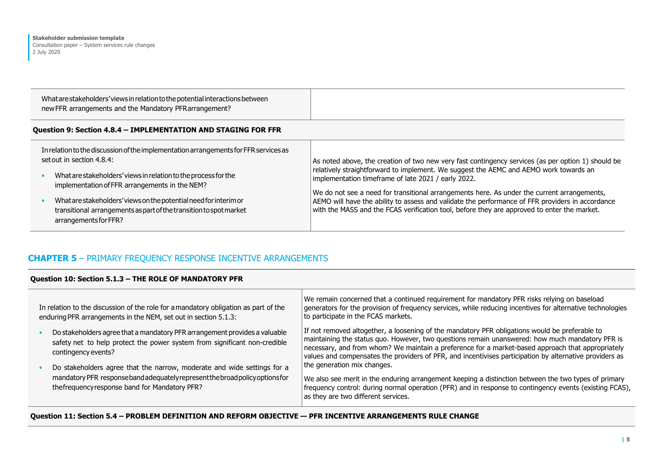Whatarestakeholders'views inrelationtothepotentialinteractionsbetween newFFR arrangements and the Mandatory PFRarrangement?

## **Question 9: Section 4.8.4 – IMPLEMENTATION AND STAGING FOR FFR**

| In relation to the discussion of the implementation arrangements for FFR services as<br>set out in section 4.8.4:                                                | As noted above, the creation of two new very fast contingency services (as per option 1) should be                                                                                                                                                                                             |
|------------------------------------------------------------------------------------------------------------------------------------------------------------------|------------------------------------------------------------------------------------------------------------------------------------------------------------------------------------------------------------------------------------------------------------------------------------------------|
| What are stakeholders' views in relation to the process for the<br>implementation of FFR arrangements in the NEM?                                                | relatively straightforward to implement. We suggest the AEMC and AEMO work towards an<br>implementation timeframe of late 2021 / early 2022.                                                                                                                                                   |
| What are stakeholders' views on the potential need for interim or<br>transitional arrangements as part of the transition to spot market<br>arrangements for FFR? | We do not see a need for transitional arrangements here. As under the current arrangements,<br>AEMO will have the ability to assess and validate the performance of FFR providers in accordance<br>with the MASS and the FCAS verification tool, before they are approved to enter the market. |

## **CHAPTER 5** – PRIMARY FREQUENCY RESPONSE INCENTIVE ARRANGEMENTS

#### **Question 10: Section 5.1.3 – THE ROLE OF MANDATORY PFR**

| In relation to the discussion of the role for a mandatory obligation as part of the<br>enduring PFR arrangements in the NEM, set out in section 5.1.3:                                                    | We remain concerned that a continued requirement for mandatory PFR risks relying on baseload<br>generators for the provision of frequency services, while reducing incentives for alternative technologies<br>to participate in the FCAS markets.                                                                                                                                                                 |
|-----------------------------------------------------------------------------------------------------------------------------------------------------------------------------------------------------------|-------------------------------------------------------------------------------------------------------------------------------------------------------------------------------------------------------------------------------------------------------------------------------------------------------------------------------------------------------------------------------------------------------------------|
| Do stakeholders agree that a mandatory PFR arrangement provides a valuable<br>safety net to help protect the power system from significant non-credible<br>contingency events?                            | If not removed altogether, a loosening of the mandatory PFR obligations would be preferable to<br>maintaining the status quo. However, two questions remain unanswered: how much mandatory PFR is<br>necessary, and from whom? We maintain a preference for a market-based approach that appropriately<br>values and compensates the providers of PFR, and incentivises participation by alternative providers as |
| Do stakeholders agree that the narrow, moderate and wide settings for a<br>mandatory PFR responseband adequately represent the broad policy options for<br>the frequency response band for Mandatory PFR? | the generation mix changes.<br>We also see merit in the enduring arrangement keeping a distinction between the two types of primary<br>frequency control: during normal operation (PFR) and in response to contingency events (existing FCAS),<br>as they are two different services.                                                                                                                             |

## **Question 11: Section 5.4 – PROBLEM DEFINITION AND REFORM OBJECTIVE — PFR INCENTIVE ARRANGEMENTS RULE CHANGE**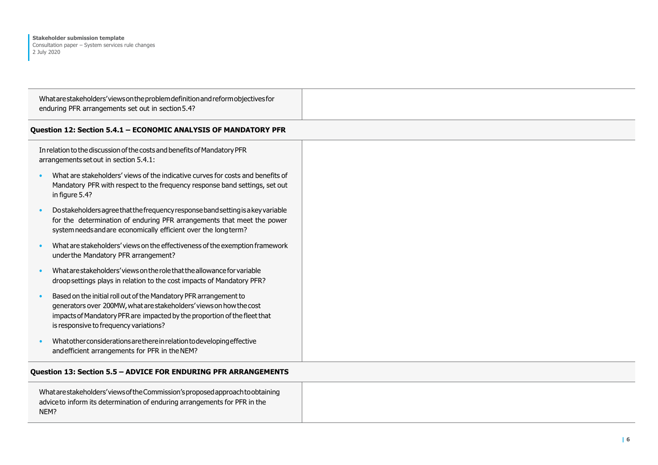| What are stakeholders' views on the problem definition and reform objectives for |  |
|----------------------------------------------------------------------------------|--|
| enduring PFR arrangements set out in section 5.4?                                |  |

## **Question 12: Section 5.4.1 – ECONOMIC ANALYSIS OF MANDATORY PFR**

| In relation to the discussion of the costs and benefits of Mandatory PFR<br>arrangements set out in section 5.4.1:                                                                                                                                              |
|-----------------------------------------------------------------------------------------------------------------------------------------------------------------------------------------------------------------------------------------------------------------|
| What are stakeholders' views of the indicative curves for costs and benefits of<br>Mandatory PFR with respect to the frequency response band settings, set out<br>in figure 5.4?                                                                                |
| Do stakeholders agree that the frequency response band setting is a key variable<br>for the determination of enduring PFR arrangements that meet the power<br>system needs and are economically efficient over the long term?                                   |
| What are stakeholders' views on the effectiveness of the exemption framework<br>underthe Mandatory PFR arrangement?                                                                                                                                             |
| What are stakeholders' views on the role that the allowance for variable<br>droop settings plays in relation to the cost impacts of Mandatory PFR?                                                                                                              |
| Based on the initial roll out of the Mandatory PFR arrangement to<br>generators over 200MW, what are stakeholders' views on how the cost<br>impacts of Mandatory PFR are impacted by the proportion of the fleet that<br>is responsive to frequency variations? |
| What other considerations are there in relation to developing effective<br>and efficient arrangements for PFR in the NEM?                                                                                                                                       |

#### **Question 13: Section 5. 5 – ADVICE FOR ENDURING PFR ARRANGEMENTS**

Whatarestakeholders'viewsoftheCommission'sproposedapproachtoobtaining adviceto inform its determination of enduring arrangements for PFR in the NEM?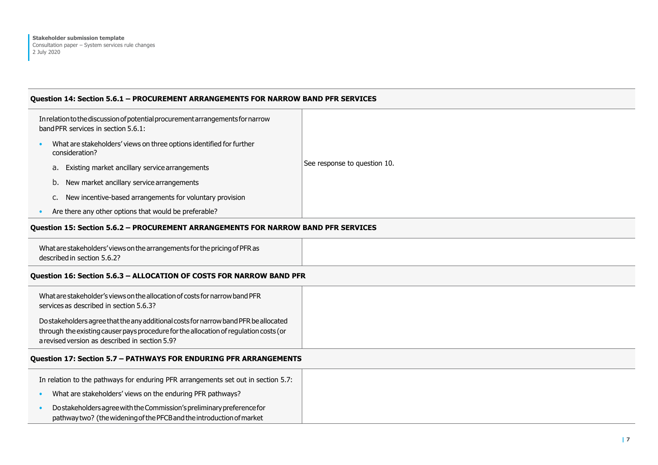## **Question 14: Section 5.6.1 – PROCUREMENT ARRANGEMENTS FOR NARROW BAND PFR SERVICES**

| In relation to the discussion of potential procurement arrangements for narrow<br>band PFR services in section 5.6.1: |                              |
|-----------------------------------------------------------------------------------------------------------------------|------------------------------|
| What are stakeholders' views on three options identified for further<br>consideration?                                |                              |
| Existing market ancillary service arrangements<br>a.                                                                  | See response to question 10. |
| New market ancillary service arrangements<br>b.                                                                       |                              |
| New incentive-based arrangements for voluntary provision<br>c.                                                        |                              |
| Are there any other options that would be preferable?                                                                 |                              |

#### **Question 15: Section 5.6.2 – PROCUREMENT ARRANGEMENTS FOR NARROW BAND PFR SERVICES**

What are stakeholders' views onthe arrangements forthe pricingofPFRas describedin section 5.6.2?

## **Question 16: Section 5.6.3 – ALLOCATION OF COSTS FOR NARROW BAND PFR**

| What are stakeholder's views on the allocation of costs for narrow band PFR<br>services as described in section 5.6.3? |
|------------------------------------------------------------------------------------------------------------------------|
| Do stakeholders agree that the any additional costs for narrow band PFR be allocated                                   |
| through the existing causer pays procedure for the allocation of regulation costs (or                                  |
| a revised version as described in section 5.9?                                                                         |

#### **Question 17: Section 5.7 – PATHWAYS FOR ENDURING PFR ARRANGEMENTS**

| In relation to the pathways for enduring PFR arrangements set out in section 5.7:                                                               |
|-------------------------------------------------------------------------------------------------------------------------------------------------|
| What are stakeholders' views on the enduring PFR pathways?                                                                                      |
| Do stakeholders agree with the Commission's preliminary preference for<br>pathway two? (the widening of the PFCB and the introduction of market |